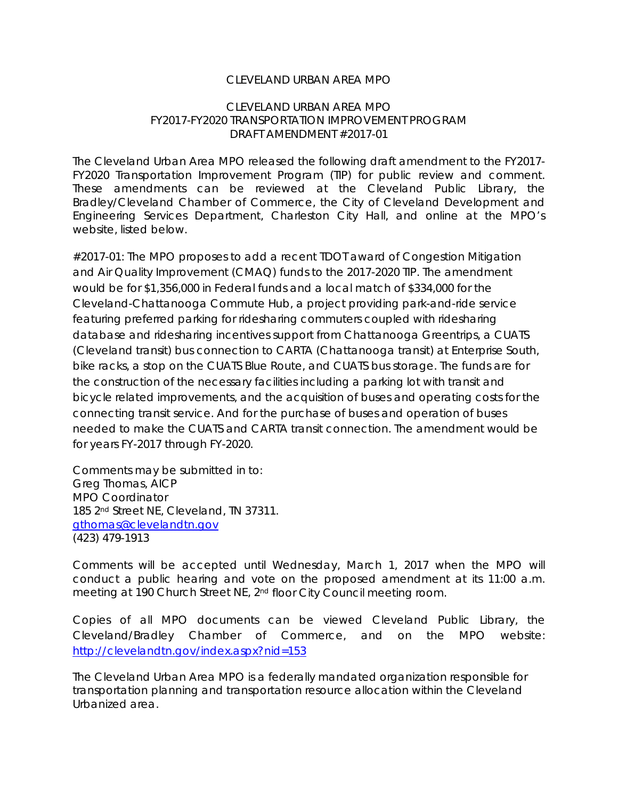#### CLEVELAND URBAN AREA MPO

#### CLEVELAND URBAN AREA MPO FY2017-FY2020 TRANSPORTATION IMPROVEMENT PROGRAM DRAFT AMENDMENT #2017-01

The Cleveland Urban Area MPO released the following draft amendment to the FY2017- FY2020 Transportation Improvement Program (TIP) for public review and comment. These amendments can be reviewed at the Cleveland Public Library, the Bradley/Cleveland Chamber of Commerce, the City of Cleveland Development and Engineering Services Department, Charleston City Hall, and online at the MPO's website, listed below.

#2017-01: The MPO proposes to add a recent TDOT award of Congestion Mitigation and Air Quality Improvement (CMAQ) funds to the 2017-2020 TIP. The amendment would be for \$1,356,000 in Federal funds and a local match of \$334,000 for the Cleveland-Chattanooga Commute Hub, a project providing park-and-ride service featuring preferred parking for ridesharing commuters coupled with ridesharing database and ridesharing incentives support from Chattanooga Greentrips, a CUATS (Cleveland transit) bus connection to CARTA (Chattanooga transit) at Enterprise South, bike racks, a stop on the CUATS Blue Route, and CUATS bus storage. The funds are for the construction of the necessary facilities including a parking lot with transit and bicycle related improvements, and the acquisition of buses and operating costs for the connecting transit service. And for the purchase of buses and operation of buses needed to make the CUATS and CARTA transit connection. The amendment would be for years FY-2017 through FY-2020.

Comments may be submitted in to: Greg Thomas, AICP MPO Coordinator 185 2nd Street NE, Cleveland, TN 37311. gthomas@clevelandtn.gov (423) 479-1913

Comments will be accepted until Wednesday, March 1, 2017 when the MPO will conduct a public hearing and vote on the proposed amendment at its 11:00 a.m. meeting at 190 Church Street NE, 2nd floor City Council meeting room.

Copies of all MPO documents can be viewed Cleveland Public Library, the Cleveland/Bradley Chamber of Commerce, and on the MPO website: http://clevelandtn.gov/index.aspx?nid=153

The Cleveland Urban Area MPO is a federally mandated organization responsible for transportation planning and transportation resource allocation within the Cleveland Urbanized area.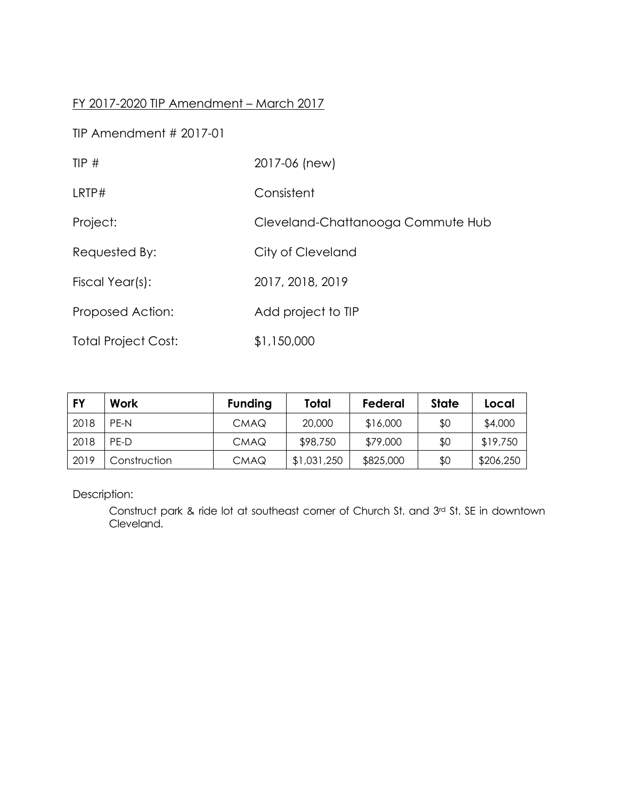### FY 2017-2020 TIP Amendment – March 2017

TIP Amendment # 2017-01

| TIP#                       | 2017-06 (new)                     |
|----------------------------|-----------------------------------|
| LRTP#                      | Consistent                        |
| Project:                   | Cleveland-Chattanooga Commute Hub |
| Requested By:              | City of Cleveland                 |
| Fiscal Year(s):            | 2017, 2018, 2019                  |
| Proposed Action:           | Add project to TIP                |
| <b>Total Project Cost:</b> | \$1,150,000                       |

| FY   | Work         | <b>Funding</b> | Total       | Federal   | State | Local     |
|------|--------------|----------------|-------------|-----------|-------|-----------|
| 2018 | PF-N         | <b>CMAQ</b>    | 20,000      | \$16,000  | \$0   | \$4,000   |
| 2018 | PF-D         | <b>CMAQ</b>    | \$98,750    | \$79,000  | \$0   | \$19,750  |
| 2019 | Construction | <b>CMAQ</b>    | \$1,031,250 | \$825,000 | \$0   | \$206,250 |

Description:

Construct park & ride lot at southeast corner of Church St. and 3rd St. SE in downtown Cleveland.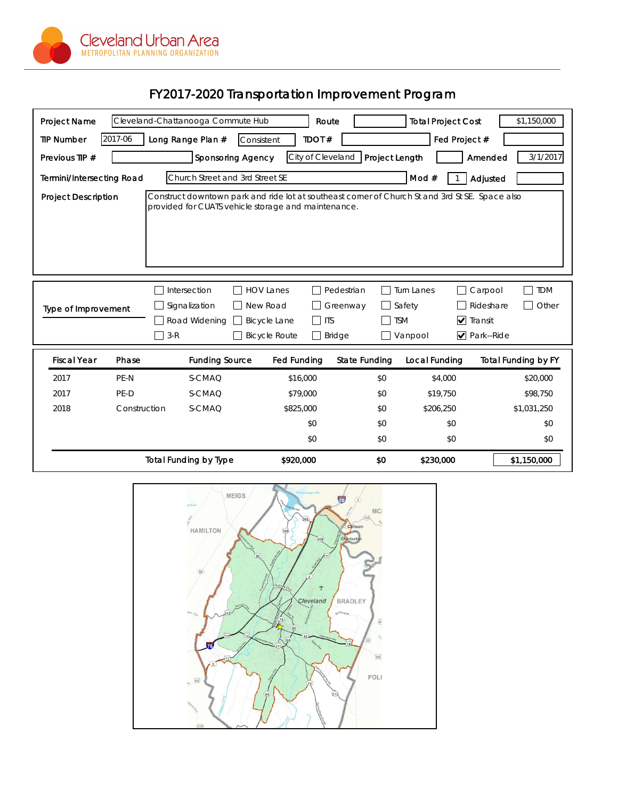

# FY2017-2020 Transportation Improvement Program

| Project Name                                                                                                                                                                                                                                                                                                                                                                         |              | Cleveland-Chattanooga Commute Hub | Route               |                      | <b>Total Project Cost</b> | \$1,150,000                |  |
|--------------------------------------------------------------------------------------------------------------------------------------------------------------------------------------------------------------------------------------------------------------------------------------------------------------------------------------------------------------------------------------|--------------|-----------------------------------|---------------------|----------------------|---------------------------|----------------------------|--|
| <b>TIP Number</b>                                                                                                                                                                                                                                                                                                                                                                    | 2017-06      | Long Range Plan #                 | TDOT#<br>Consistent |                      | Fed Project #             |                            |  |
| Previous TIP #                                                                                                                                                                                                                                                                                                                                                                       |              | <b>Sponsoring Agency</b>          | City of Cleveland   | Project Length       |                           | 3/1/2017<br>Amended        |  |
| Church Street and 3rd Street SE<br>Mod $#$<br>Termini/Intersecting Road<br>Adjusted                                                                                                                                                                                                                                                                                                  |              |                                   |                     |                      |                           |                            |  |
| Construct downtown park and ride lot at southeast corner of Church St and 3rd St SE. Space also<br><b>Project Description</b><br>provided for CUATS vehicle storage and maintenance.                                                                                                                                                                                                 |              |                                   |                     |                      |                           |                            |  |
| <b>HOV Lanes</b><br>Pedestrian<br><b>TDM</b><br>Intersection<br><b>Turn Lanes</b><br>Carpool<br>Signalization<br>New Road<br>Rideshare<br>Other<br>Greenway<br>Safety<br>Type of Improvement<br>$\nabla$ Transit<br>$\perp$<br><b>ITS</b><br><b>TSM</b><br>Road Widening<br><b>Bicycle Lane</b><br>Park--Ride<br>$3-R$<br><b>Bicycle Route</b><br><b>Bridge</b><br>$\Box$<br>Vanpool |              |                                   |                     |                      |                           |                            |  |
| <b>Fiscal Year</b>                                                                                                                                                                                                                                                                                                                                                                   | Phase        | <b>Funding Source</b>             | <b>Fed Funding</b>  | <b>State Funding</b> | Local Funding             | <b>Total Funding by FY</b> |  |
| 2017                                                                                                                                                                                                                                                                                                                                                                                 | PE-N         | S-CMAQ                            | \$16,000            | \$0                  | \$4,000                   | \$20,000                   |  |
| 2017                                                                                                                                                                                                                                                                                                                                                                                 | PE-D         | S-CMAQ                            | \$79,000            | \$0                  | \$19,750                  | \$98,750                   |  |
| 2018                                                                                                                                                                                                                                                                                                                                                                                 | Construction | S-CMAQ                            | \$825,000           | \$0                  | \$206,250                 | \$1,031,250                |  |
|                                                                                                                                                                                                                                                                                                                                                                                      |              |                                   | \$0                 | \$0                  | \$0                       | \$0                        |  |
|                                                                                                                                                                                                                                                                                                                                                                                      |              |                                   | \$0                 | \$0                  | \$0                       | \$0                        |  |
|                                                                                                                                                                                                                                                                                                                                                                                      |              | <b>Total Funding by Type</b>      | \$920,000           | \$0                  | \$230,000                 | \$1,150,000                |  |

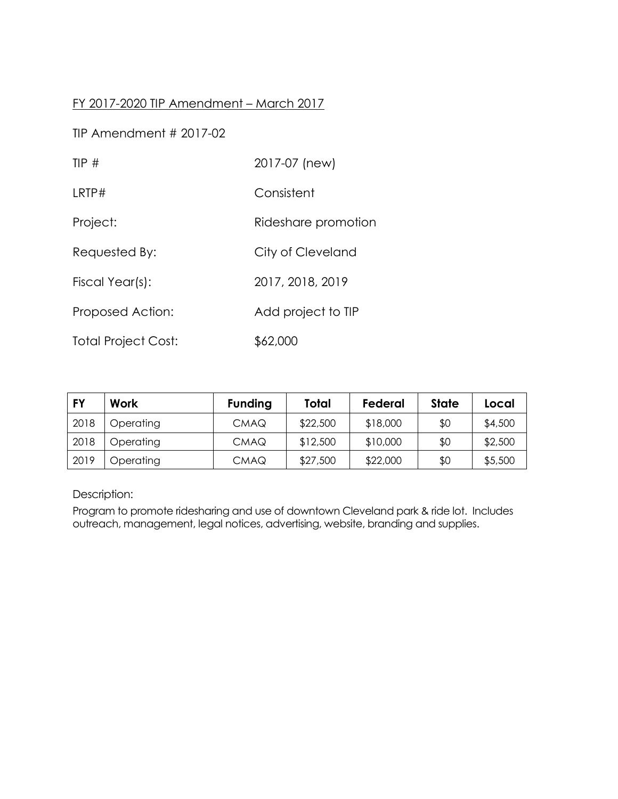### FY 2017-2020 TIP Amendment – March 2017

TIP Amendment # 2017-02

| TIP $#$                    | 2017-07 (new)       |
|----------------------------|---------------------|
| LRTP#                      | Consistent          |
| Project:                   | Rideshare promotion |
| Requested By:              | City of Cleveland   |
| Fiscal Year(s):            | 2017, 2018, 2019    |
| Proposed Action:           | Add project to TIP  |
| <b>Total Project Cost:</b> | \$62,000            |

| <b>FY</b> | Work      | <b>Funding</b> | Total    | Federal  | State | Local   |
|-----------|-----------|----------------|----------|----------|-------|---------|
| 2018      | Operating | <b>CMAQ</b>    | \$22,500 | \$18,000 | \$0   | \$4,500 |
| 2018      | Operating | <b>CMAQ</b>    | \$12,500 | \$10,000 | \$0   | \$2,500 |
| 2019      | Operating | <b>CMAQ</b>    | \$27,500 | \$22,000 | \$0   | \$5,500 |

Description:

Program to promote ridesharing and use of downtown Cleveland park & ride lot. Includes outreach, management, legal notices, advertising, website, branding and supplies.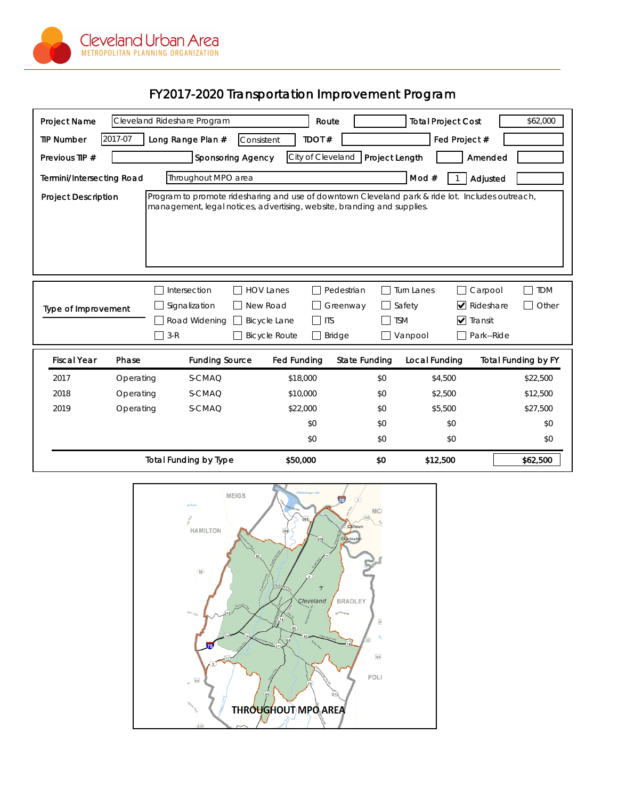

## FY2017-2020 Transportation Improvement Program

| <b>Project Name</b>                                                                                                                                                                                                                                                                                                                                                                                | Cleveland Rideshare Program |                                 | Route              |                      | <b>Total Project Cost</b> | \$62,000                   |  |
|----------------------------------------------------------------------------------------------------------------------------------------------------------------------------------------------------------------------------------------------------------------------------------------------------------------------------------------------------------------------------------------------------|-----------------------------|---------------------------------|--------------------|----------------------|---------------------------|----------------------------|--|
| <b>TIP Number</b>                                                                                                                                                                                                                                                                                                                                                                                  | 2017-07                     | Long Range Plan #<br>Consistent | TDOT#              |                      | Fed Project #             |                            |  |
| Previous TIP #                                                                                                                                                                                                                                                                                                                                                                                     |                             | <b>Sponsoring Agency</b>        | City of Cleveland  | Project Length       |                           | Amended                    |  |
| Throughout MPO area<br>Mod#<br><b>Termini/Intersecting Road</b><br>Adjusted                                                                                                                                                                                                                                                                                                                        |                             |                                 |                    |                      |                           |                            |  |
| Program to promote ridesharing and use of downtown Cleveland park & ride lot. Includes outreach,<br><b>Project Description</b><br>management, legal notices, advertising, website, branding and supplies.                                                                                                                                                                                          |                             |                                 |                    |                      |                           |                            |  |
| <b>HOV Lanes</b><br>Pedestrian<br>Turn Lanes<br>Carpool<br><b>TDM</b><br>Intersection<br>$\blacktriangleright$ Rideshare<br>Other<br>Signalization<br>New Road<br>Safety<br>Greenway<br><b>Type of Improvement</b><br>$\nabla$ Transit<br>Road Widening<br><b>Bicycle Lane</b><br>$\Box$<br><b>ITS</b><br><b>TSM</b><br>$3-R$<br><b>Bicycle Route</b><br>Bridge<br>Park--Ride<br>Vanpool<br>$\Box$ |                             |                                 |                    |                      |                           |                            |  |
| <b>Fiscal Year</b>                                                                                                                                                                                                                                                                                                                                                                                 | Phase                       | <b>Funding Source</b>           | <b>Fed Funding</b> | <b>State Funding</b> | Local Funding             | <b>Total Funding by FY</b> |  |
| 2017                                                                                                                                                                                                                                                                                                                                                                                               | Operating                   | S-CMAQ                          | \$18,000           | \$0                  | \$4,500                   | \$22,500                   |  |
| 2018                                                                                                                                                                                                                                                                                                                                                                                               | Operating                   | S-CMAQ                          | \$10,000           | \$0                  | \$2,500                   | \$12,500                   |  |
| 2019                                                                                                                                                                                                                                                                                                                                                                                               | Operating                   | S-CMAQ                          | \$22,000           | \$0                  | \$5,500                   | \$27,500                   |  |
|                                                                                                                                                                                                                                                                                                                                                                                                    |                             | \$0                             |                    | \$0                  | \$0                       | \$0                        |  |
|                                                                                                                                                                                                                                                                                                                                                                                                    |                             |                                 | \$0                | \$0                  | \$0                       | \$0                        |  |
|                                                                                                                                                                                                                                                                                                                                                                                                    |                             | <b>Total Funding by Type</b>    | \$50,000           | \$0                  | \$12,500                  | \$62,500                   |  |

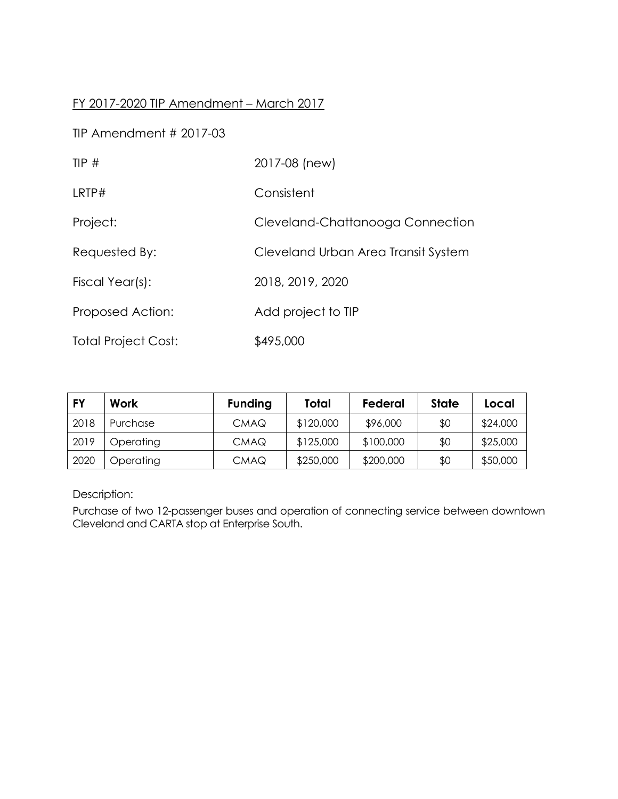### FY 2017-2020 TIP Amendment – March 2017

TIP Amendment # 2017-03

| TIP $#$                    | 2017-08 (new)                       |
|----------------------------|-------------------------------------|
| LRTP#                      | Consistent                          |
| Project:                   | Cleveland-Chattanooga Connection    |
| Requested By:              | Cleveland Urban Area Transit System |
| Fiscal Year(s):            | 2018, 2019, 2020                    |
| Proposed Action:           | Add project to TIP                  |
| <b>Total Project Cost:</b> | \$495,000                           |

| FY   | Work      | <b>Funding</b> | Total     | Federal   | State | Local    |
|------|-----------|----------------|-----------|-----------|-------|----------|
| 2018 | Purchase  | <b>CMAQ</b>    | \$120,000 | \$96,000  | \$0   | \$24,000 |
| 2019 | Operating | <b>CMAQ</b>    | \$125,000 | \$100,000 | \$0   | \$25,000 |
| 2020 | Operating | <b>CMAQ</b>    | \$250,000 | \$200,000 | \$0   | \$50,000 |

Description:

Purchase of two 12-passenger buses and operation of connecting service between downtown Cleveland and CARTA stop at Enterprise South.